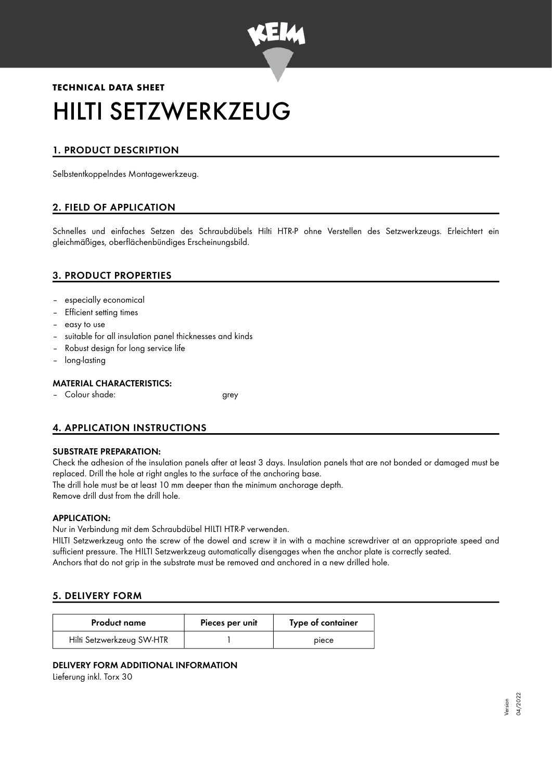

# **TECHNICAL DATA SHEET** HILTI SETZWERKZEUG

## 1. PRODUCT DESCRIPTION

Selbstentkoppelndes Montagewerkzeug.

## 2. FIELD OF APPLICATION

Schnelles und einfaches Setzen des Schraubdübels Hilti HTR-P ohne Verstellen des Setzwerkzeugs. Erleichtert ein gleichmäßiges, oberflächenbündiges Erscheinungsbild.

## 3. PRODUCT PROPERTIES

- especially economical
- Efficient setting times
- easy to use
- suitable for all insulation panel thicknesses and kinds
- Robust design for long service life
- long-lasting

#### MATERIAL CHARACTERISTICS:

– Colour shade: grey

## 4. APPLICATION INSTRUCTIONS

#### SUBSTRATE PREPARATION:

Check the adhesion of the insulation panels after at least 3 days. Insulation panels that are not bonded or damaged must be replaced. Drill the hole at right angles to the surface of the anchoring base. The drill hole must be at least 10 mm deeper than the minimum anchorage depth.

Remove drill dust from the drill hole.

#### APPLICATION:

Nur in Verbindung mit dem Schraubdübel HILTI HTR-P verwenden.

HILTI Setzwerkzeug onto the screw of the dowel and screw it in with a machine screwdriver at an appropriate speed and sufficient pressure. The HILTI Setzwerkzeug automatically disengages when the anchor plate is correctly seated. Anchors that do not grip in the substrate must be removed and anchored in a new drilled hole.

#### 5. DELIVERY FORM

| <b>Product name</b>       | Pieces per unit | Type of container |
|---------------------------|-----------------|-------------------|
| Hilti Setzwerkzeug SW-HTR |                 | piece             |

#### DELIVERY FORM ADDITIONAL INFORMATION

Lieferung inkl. Torx 30